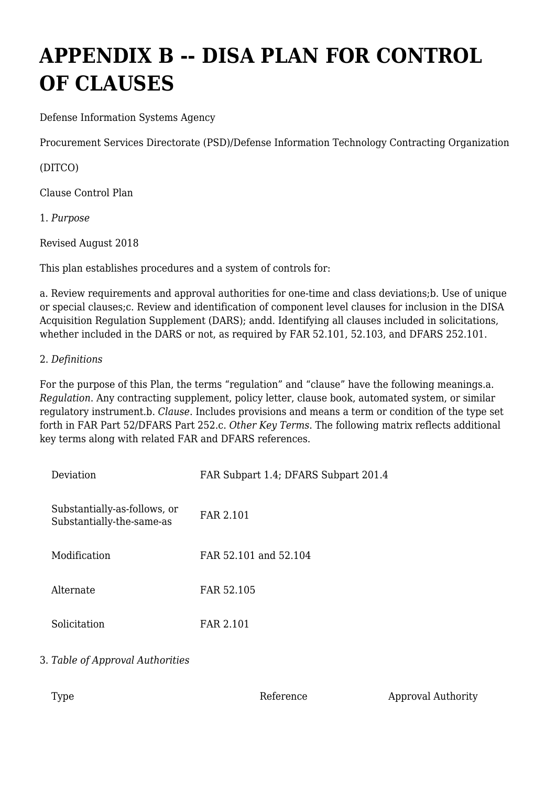# **APPENDIX B -- DISA PLAN FOR CONTROL OF CLAUSES**

Defense Information Systems Agency

Procurement Services Directorate (PSD)/Defense Information Technology Contracting Organization

(DITCO)

Clause Control Plan

1. *Purpose*

Revised August 2018

This plan establishes procedures and a system of controls for:

a. Review requirements and approval authorities for one-time and class deviations;b. Use of unique or special clauses;c. Review and identification of component level clauses for inclusion in the DISA Acquisition Regulation Supplement (DARS); andd. Identifying all clauses included in solicitations, whether included in the DARS or not, as required by FAR 52.101, 52.103, and DFARS 252.101.

## 2. *Definitions*

For the purpose of this Plan, the terms "regulation" and "clause" have the following meanings.a. *Regulation*. Any contracting supplement, policy letter, clause book, automated system, or similar regulatory instrument.b. *Clause*. Includes provisions and means a term or condition of the type set forth in FAR Part 52/DFARS Part 252.c. *Other Key Terms*. The following matrix reflects additional key terms along with related FAR and DFARS references.

| Deviation                                                 | FAR Subpart 1.4; DFARS Subpart 201.4 |  |  |
|-----------------------------------------------------------|--------------------------------------|--|--|
| Substantially-as-follows, or<br>Substantially-the-same-as | FAR 2.101                            |  |  |
| Modification                                              | FAR 52.101 and 52.104                |  |  |
| Alternate                                                 | FAR 52.105                           |  |  |
| Solicitation                                              | FAR 2.101                            |  |  |

## 3. *Table of Approval Authorities*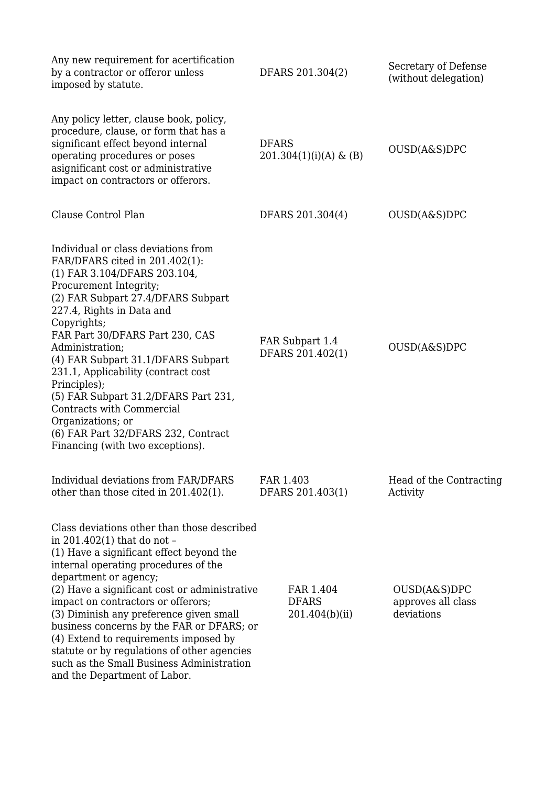| Any new requirement for acertification<br>by a contractor or offeror unless<br>imposed by statute.                                                                                                                                                                                                                                                                                                                                                                                                                                          | DFARS 201.304(2)                            | Secretary of Defense<br>(without delegation)     |
|---------------------------------------------------------------------------------------------------------------------------------------------------------------------------------------------------------------------------------------------------------------------------------------------------------------------------------------------------------------------------------------------------------------------------------------------------------------------------------------------------------------------------------------------|---------------------------------------------|--------------------------------------------------|
| Any policy letter, clause book, policy,<br>procedure, clause, or form that has a<br>significant effect beyond internal<br>operating procedures or poses<br>asignificant cost or administrative<br>impact on contractors or offerors.                                                                                                                                                                                                                                                                                                        | <b>DFARS</b><br>$201.304(1)(i)(A)$ & (B)    | OUSD(A&S)DPC                                     |
| Clause Control Plan                                                                                                                                                                                                                                                                                                                                                                                                                                                                                                                         | DFARS 201.304(4)                            | OUSD(A&S)DPC                                     |
| Individual or class deviations from<br>FAR/DFARS cited in 201.402(1):<br>(1) FAR 3.104/DFARS 203.104,<br>Procurement Integrity;<br>(2) FAR Subpart 27.4/DFARS Subpart<br>227.4, Rights in Data and<br>Copyrights;<br>FAR Part 30/DFARS Part 230, CAS<br>Administration;<br>(4) FAR Subpart 31.1/DFARS Subpart<br>231.1, Applicability (contract cost<br>Principles);<br>(5) FAR Subpart 31.2/DFARS Part 231,<br>Contracts with Commercial<br>Organizations; or<br>(6) FAR Part 32/DFARS 232, Contract<br>Financing (with two exceptions).   | FAR Subpart 1.4<br>DFARS 201.402(1)         | OUSD(A&S)DPC                                     |
| Individual deviations from FAR/DFARS<br>other than those cited in $201.402(1)$ .                                                                                                                                                                                                                                                                                                                                                                                                                                                            | FAR 1.403<br>DFARS 201.403(1)               | Head of the Contracting<br>Activity              |
| Class deviations other than those described<br>in 201.402(1) that do not -<br>(1) Have a significant effect beyond the<br>internal operating procedures of the<br>department or agency;<br>(2) Have a significant cost or administrative<br>impact on contractors or offerors;<br>(3) Diminish any preference given small<br>business concerns by the FAR or DFARS; or<br>(4) Extend to requirements imposed by<br>statute or by regulations of other agencies<br>such as the Small Business Administration<br>and the Department of Labor. | FAR 1.404<br><b>DFARS</b><br>201.404(b)(ii) | OUSD(A&S)DPC<br>approves all class<br>deviations |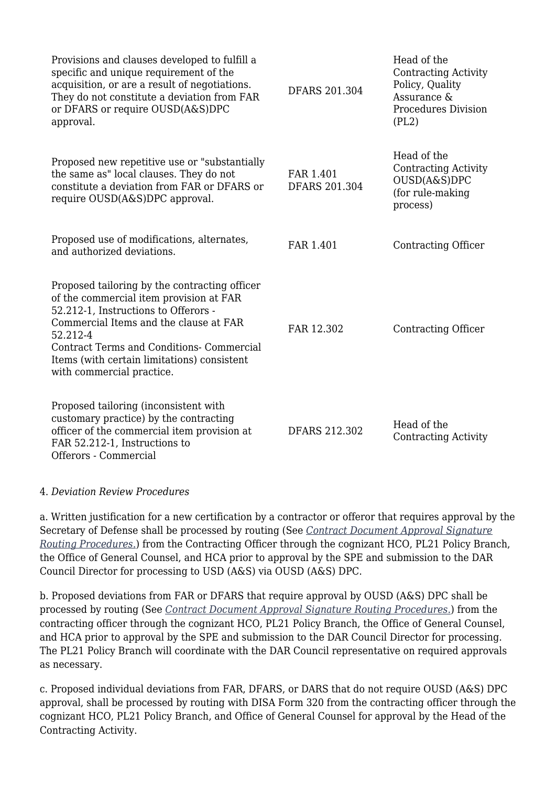| Provisions and clauses developed to fulfill a<br>specific and unique requirement of the<br>acquisition, or are a result of negotiations.<br>They do not constitute a deviation from FAR<br>or DFARS or require OUSD(A&S)DPC<br>approval.                                                                               | <b>DFARS 201.304</b>              | Head of the<br><b>Contracting Activity</b><br>Policy, Quality<br>Assurance &<br><b>Procedures Division</b><br>(PL2) |
|------------------------------------------------------------------------------------------------------------------------------------------------------------------------------------------------------------------------------------------------------------------------------------------------------------------------|-----------------------------------|---------------------------------------------------------------------------------------------------------------------|
| Proposed new repetitive use or "substantially<br>the same as" local clauses. They do not<br>constitute a deviation from FAR or DFARS or<br>require OUSD(A&S)DPC approval.                                                                                                                                              | FAR 1.401<br><b>DFARS 201.304</b> | Head of the<br><b>Contracting Activity</b><br>OUSD(A&S)DPC<br>(for rule-making<br>process)                          |
| Proposed use of modifications, alternates,<br>and authorized deviations.                                                                                                                                                                                                                                               | FAR 1.401                         | Contracting Officer                                                                                                 |
| Proposed tailoring by the contracting officer<br>of the commercial item provision at FAR<br>52.212-1, Instructions to Offerors -<br>Commercial Items and the clause at FAR<br>52.212-4<br><b>Contract Terms and Conditions- Commercial</b><br>Items (with certain limitations) consistent<br>with commercial practice. | FAR 12.302                        | <b>Contracting Officer</b>                                                                                          |
| Proposed tailoring (inconsistent with<br>customary practice) by the contracting<br>officer of the commercial item provision at<br>FAR 52.212-1, Instructions to<br>Offerors - Commercial                                                                                                                               | DFARS 212.302                     | Head of the<br><b>Contracting Activity</b>                                                                          |

### 4. *Deviation Review Procedures*

a. Written justification for a new certification by a contractor or offeror that requires approval by the Secretary of Defense shall be processed by routing (See *[Contract Document Approval Signature](https://www.ditco.disa.mil/DITCOContractingTemplates/) [Routing Procedures](https://www.ditco.disa.mil/DITCOContractingTemplates/)*[.\)](https://www.ditco.disa.mil/DITCOContractingTemplates/) from the Contracting Officer through the cognizant HCO, PL21 Policy Branch, the Office of General Counsel, and HCA prior to approval by the SPE and submission to the DAR Council Director for processing to USD (A&S) via OUSD (A&S) DPC.

b. Proposed deviations from FAR or DFARS that require approval by OUSD (A&S) DPC shall be processed by routing (See *[Contract Document Approval Signature Routing Procedures](https://www.ditco.disa.mil/DITCOContractingTemplates/)*[.\)](https://www.ditco.disa.mil/DITCOContractingTemplates/) from the contracting officer through the cognizant HCO, PL21 Policy Branch, the Office of General Counsel, and HCA prior to approval by the SPE and submission to the DAR Council Director for processing. The PL21 Policy Branch will coordinate with the DAR Council representative on required approvals as necessary.

c. Proposed individual deviations from FAR, DFARS, or DARS that do not require OUSD (A&S) DPC approval, shall be processed by routing with DISA Form 320 from the contracting officer through the cognizant HCO, PL21 Policy Branch, and Office of General Counsel for approval by the Head of the Contracting Activity.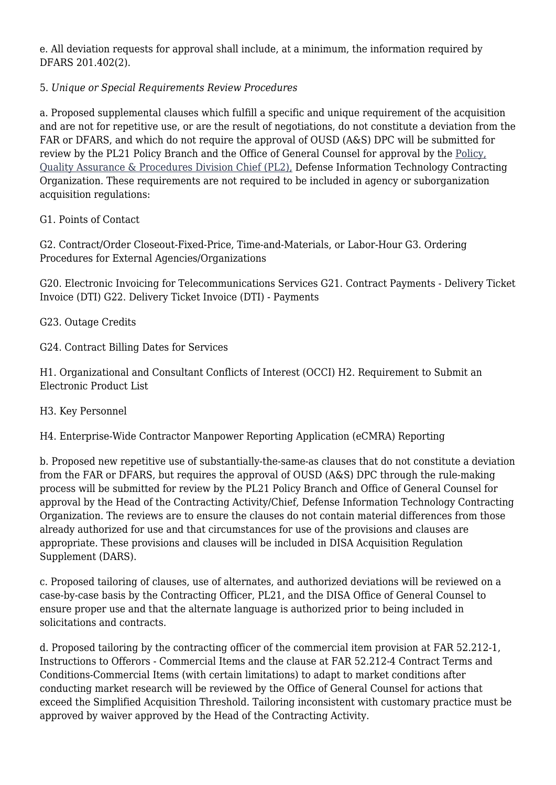e. All deviation requests for approval shall include, at a minimum, the information required by DFARS 201.402(2).

# 5. *Unique or Special Requirements Review Procedures*

a. Proposed supplemental clauses which fulfill a specific and unique requirement of the acquisition and are not for repetitive use, or are the result of negotiations, do not constitute a deviation from the FAR or DFARS, and which do not require the approval of OUSD (A&S) DPC will be submitted for review by the PL21 Policy Branch and the Office of General Counsel for approval by the [Policy,](http://www.disa.mil/about/offices/ditco/pl2.html) [Quality Assurance & Procedures Division Chief \(PL2\),](http://www.disa.mil/about/offices/ditco/pl2.html) Defense Information Technology Contracting Organization. These requirements are not required to be included in agency or suborganization acquisition regulations:

## G1. Points of Contact

G2. Contract/Order Closeout-Fixed-Price, Time-and-Materials, or Labor-Hour G3. Ordering Procedures for External Agencies/Organizations

G20. Electronic Invoicing for Telecommunications Services G21. Contract Payments - Delivery Ticket Invoice (DTI) G22. Delivery Ticket Invoice (DTI) - Payments

G23. Outage Credits

G24. Contract Billing Dates for Services

H1. Organizational and Consultant Conflicts of Interest (OCCI) H2. Requirement to Submit an Electronic Product List

### H3. Key Personnel

H4. Enterprise-Wide Contractor Manpower Reporting Application (eCMRA) Reporting

b. Proposed new repetitive use of substantially-the-same-as clauses that do not constitute a deviation from the FAR or DFARS, but requires the approval of OUSD (A&S) DPC through the rule-making process will be submitted for review by the PL21 Policy Branch and Office of General Counsel for approval by the Head of the Contracting Activity/Chief, Defense Information Technology Contracting Organization. The reviews are to ensure the clauses do not contain material differences from those already authorized for use and that circumstances for use of the provisions and clauses are appropriate. These provisions and clauses will be included in DISA Acquisition Regulation Supplement (DARS).

c. Proposed tailoring of clauses, use of alternates, and authorized deviations will be reviewed on a case-by-case basis by the Contracting Officer, PL21, and the DISA Office of General Counsel to ensure proper use and that the alternate language is authorized prior to being included in solicitations and contracts.

d. Proposed tailoring by the contracting officer of the commercial item provision at FAR 52.212-1, Instructions to Offerors - Commercial Items and the clause at FAR 52.212-4 Contract Terms and Conditions-Commercial Items (with certain limitations) to adapt to market conditions after conducting market research will be reviewed by the Office of General Counsel for actions that exceed the Simplified Acquisition Threshold. Tailoring inconsistent with customary practice must be approved by waiver approved by the Head of the Contracting Activity.